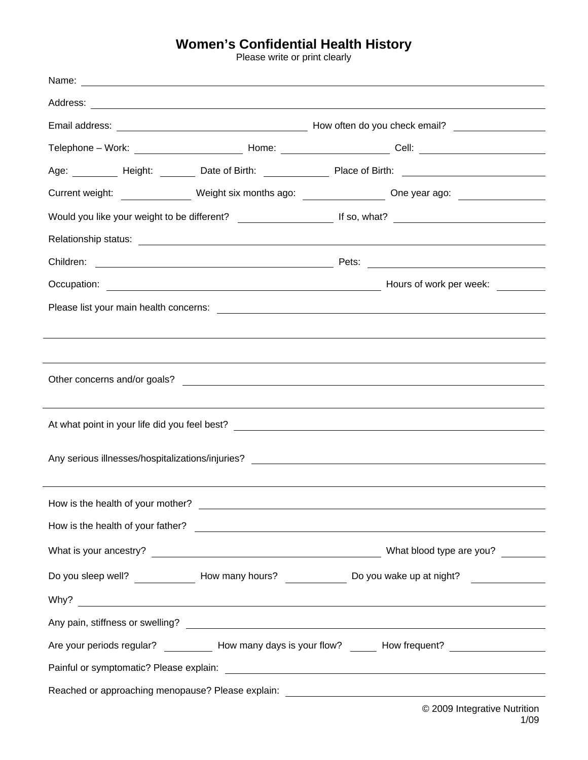## **Women's Confidential Health History**<br>Please write or print clearly

| Name:                                                                            |  |                                                                                                                |  |  |  |  |  |
|----------------------------------------------------------------------------------|--|----------------------------------------------------------------------------------------------------------------|--|--|--|--|--|
|                                                                                  |  |                                                                                                                |  |  |  |  |  |
|                                                                                  |  |                                                                                                                |  |  |  |  |  |
|                                                                                  |  |                                                                                                                |  |  |  |  |  |
|                                                                                  |  | Age: _________ Height: _______ Date of Birth: _____________ Place of Birth: ________________________           |  |  |  |  |  |
|                                                                                  |  | Current weight: ________________ Weight six months ago: ________________ One year ago: ____________            |  |  |  |  |  |
|                                                                                  |  |                                                                                                                |  |  |  |  |  |
|                                                                                  |  |                                                                                                                |  |  |  |  |  |
|                                                                                  |  |                                                                                                                |  |  |  |  |  |
|                                                                                  |  | Hours of work per week:                                                                                        |  |  |  |  |  |
|                                                                                  |  |                                                                                                                |  |  |  |  |  |
|                                                                                  |  |                                                                                                                |  |  |  |  |  |
|                                                                                  |  |                                                                                                                |  |  |  |  |  |
|                                                                                  |  |                                                                                                                |  |  |  |  |  |
|                                                                                  |  |                                                                                                                |  |  |  |  |  |
|                                                                                  |  |                                                                                                                |  |  |  |  |  |
|                                                                                  |  |                                                                                                                |  |  |  |  |  |
| Any serious illnesses/hospitalizations/injuries? _______________________________ |  |                                                                                                                |  |  |  |  |  |
|                                                                                  |  |                                                                                                                |  |  |  |  |  |
| How is the health of your mother?                                                |  |                                                                                                                |  |  |  |  |  |
|                                                                                  |  |                                                                                                                |  |  |  |  |  |
|                                                                                  |  |                                                                                                                |  |  |  |  |  |
|                                                                                  |  | Do you sleep well? ________________ How many hours? _______________ Do you wake up at night? _____________     |  |  |  |  |  |
|                                                                                  |  | Why? Note: Note: Note: Note: Note: Note: Note: Note: Note: Note: Note: Note: Note: Note: Note: Note: Note: Not |  |  |  |  |  |
|                                                                                  |  |                                                                                                                |  |  |  |  |  |
|                                                                                  |  | Are your periods regular? ____________ How many days is your flow? _______ How frequent? ____________________  |  |  |  |  |  |
|                                                                                  |  |                                                                                                                |  |  |  |  |  |
|                                                                                  |  |                                                                                                                |  |  |  |  |  |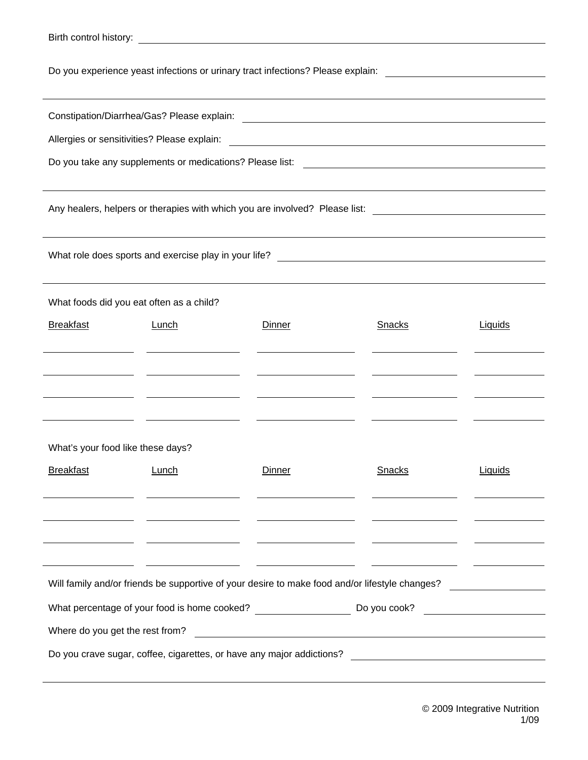| Birth control history:                                                                                                                                                                                                  |       |               |               |         |  |  |  |
|-------------------------------------------------------------------------------------------------------------------------------------------------------------------------------------------------------------------------|-------|---------------|---------------|---------|--|--|--|
| Do you experience yeast infections or urinary tract infections? Please explain:<br><u> 1989 - John Stone, amerikansk politiker (</u>                                                                                    |       |               |               |         |  |  |  |
|                                                                                                                                                                                                                         |       |               |               |         |  |  |  |
| Allergies or sensitivities? Please explain:<br><u> 1989 - Johann Stoff, deutscher Stoffen und der Stoffen und der Stoffen und der Stoffen und der Stoffen und der</u>                                                   |       |               |               |         |  |  |  |
| Do you take any supplements or medications? Please list:<br><u> 1989 - Johann Harry Harry Harry Harry Harry Harry Harry Harry Harry Harry Harry Harry Harry Harry Harry Harry</u>                                       |       |               |               |         |  |  |  |
|                                                                                                                                                                                                                         |       |               |               |         |  |  |  |
| Any healers, helpers or therapies with which you are involved? Please list: __________________________________                                                                                                          |       |               |               |         |  |  |  |
|                                                                                                                                                                                                                         |       |               |               |         |  |  |  |
|                                                                                                                                                                                                                         |       |               |               |         |  |  |  |
| What foods did you eat often as a child?                                                                                                                                                                                |       |               |               |         |  |  |  |
| <b>Breakfast</b>                                                                                                                                                                                                        | Lunch | <b>Dinner</b> | <b>Snacks</b> | Liquids |  |  |  |
|                                                                                                                                                                                                                         |       |               |               |         |  |  |  |
|                                                                                                                                                                                                                         |       |               |               |         |  |  |  |
|                                                                                                                                                                                                                         |       |               |               |         |  |  |  |
|                                                                                                                                                                                                                         |       |               |               |         |  |  |  |
| What's your food like these days?                                                                                                                                                                                       |       |               |               |         |  |  |  |
| <b>Breakfast</b>                                                                                                                                                                                                        | Lunch | <b>Dinner</b> | <b>Snacks</b> | Liquids |  |  |  |
|                                                                                                                                                                                                                         |       |               |               |         |  |  |  |
|                                                                                                                                                                                                                         |       |               |               |         |  |  |  |
|                                                                                                                                                                                                                         |       |               |               |         |  |  |  |
|                                                                                                                                                                                                                         |       |               |               |         |  |  |  |
| Will family and/or friends be supportive of your desire to make food and/or lifestyle changes?<br><u> a componente de la componenta de la componenta de la componenta de la componenta de la componenta de la compo</u> |       |               |               |         |  |  |  |
| What percentage of your food is home cooked? ___________________________________<br>Do you cook?<br><u> 1989 - Jan Barbara Barat, prima popula</u>                                                                      |       |               |               |         |  |  |  |
| Where do you get the rest from?<br><u> 1980 - Johann Barn, mars ann an t-Amhainn an t-Amhainn an t-Amhainn an t-Amhainn an t-Amhainn an t-Amhainn an </u>                                                               |       |               |               |         |  |  |  |
| Do you crave sugar, coffee, cigarettes, or have any major addictions?                                                                                                                                                   |       |               |               |         |  |  |  |